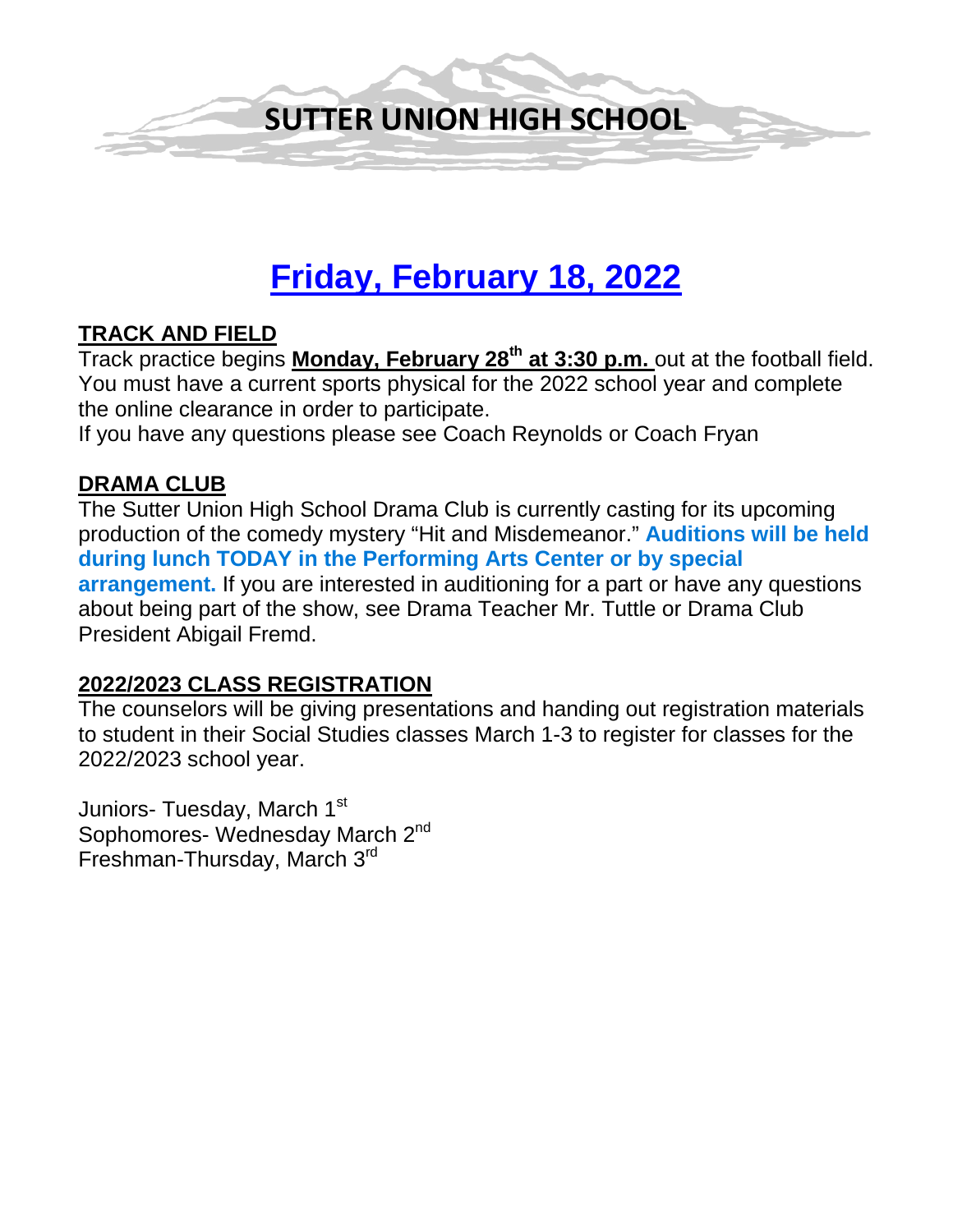

# **Friday, February 18, 2022**

### **TRACK AND FIELD**

Track practice begins **Monday, February 28th at 3:30 p.m.** out at the football field. You must have a current sports physical for the 2022 school year and complete the online clearance in order to participate.

If you have any questions please see Coach Reynolds or Coach Fryan

#### **DRAMA CLUB**

The Sutter Union High School Drama Club is currently casting for its upcoming production of the comedy mystery "Hit and Misdemeanor." **Auditions will be held during lunch TODAY in the Performing Arts Center or by special arrangement.** If you are interested in auditioning for a part or have any questions about being part of the show, see Drama Teacher Mr. Tuttle or Drama Club President Abigail Fremd.

#### **2022/2023 CLASS REGISTRATION**

The counselors will be giving presentations and handing out registration materials to student in their Social Studies classes March 1-3 to register for classes for the 2022/2023 school year.

Juniors- Tuesday, March 1<sup>st</sup> Sophomores- Wednesday March 2<sup>nd</sup> Freshman-Thursday, March 3rd